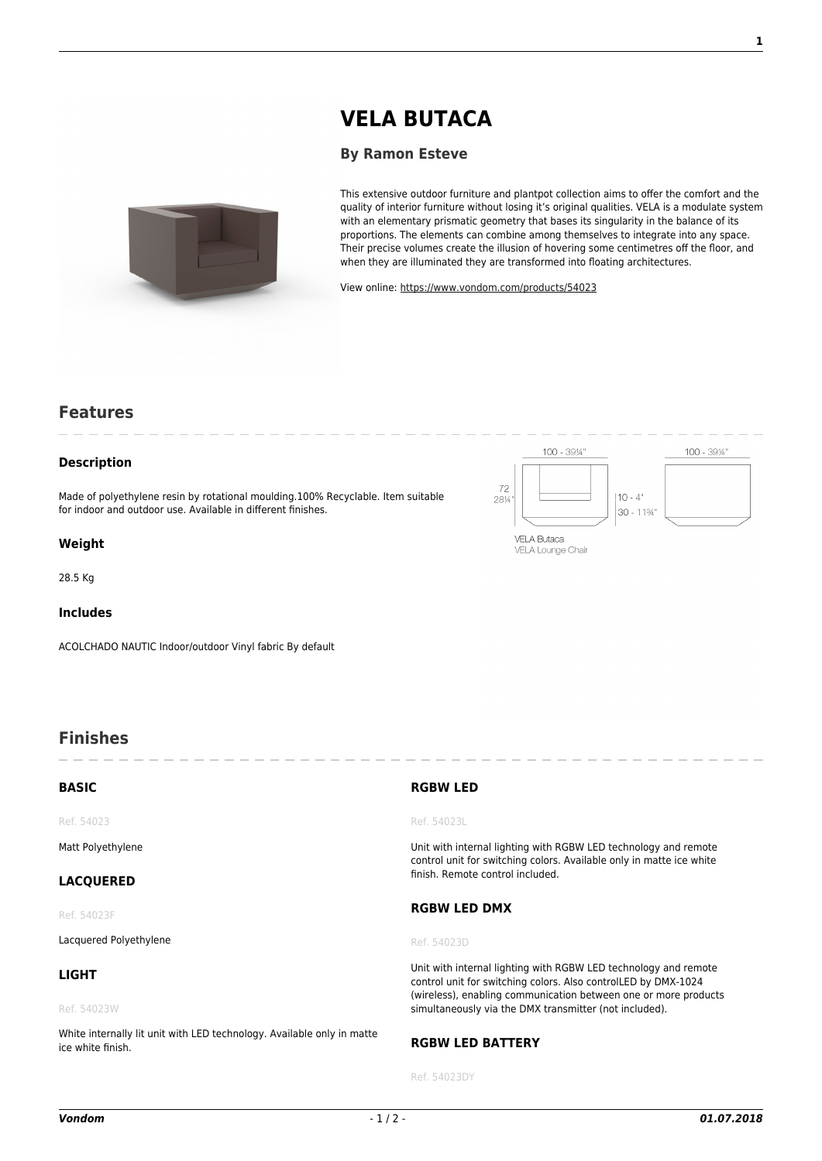# **[VELA BUTACA](https://www.vondom.com/products/?product=54023)**

### **[By Ramon Esteve](https://www.vondom.com/designers/ramon-esteve/)**



This extensive outdoor furniture and plantpot collection aims to offer the comfort and the quality of interior furniture without losing it's original qualities. VELA is a modulate system with an elementary prismatic geometry that bases its singularity in the balance of its proportions. The elements can combine among themselves to integrate into any space. Their precise volumes create the illusion of hovering some centimetres off the floor, and when they are illuminated they are transformed into floating architectures.

100 - 3914"

**VELA Butaca** VELA Lounge Chair  $10 - 4^{\circ}$ 

30 - 11%

72

28%

View online: [https://www.vondom.com/products/54023](https://www.vondom.com/products/?product=54023)

## **Features**

#### **Description**

Made of polyethylene resin by rotational moulding.100% Recyclable. Item suitable for indoor and outdoor use. Available in different finishes.

#### **Weight**

28.5 Kg

### **Includes**

ACOLCHADO NAUTIC Indoor/outdoor Vinyl fabric By default

# **Finishes**

| <b>BASIC</b>                                                                                | <b>RGBW LED</b>                                                                                                                                                                                                                                                |
|---------------------------------------------------------------------------------------------|----------------------------------------------------------------------------------------------------------------------------------------------------------------------------------------------------------------------------------------------------------------|
| Ref. 54023                                                                                  | Ref. 54023L                                                                                                                                                                                                                                                    |
| Matt Polyethylene                                                                           | Unit with internal lighting with RGBW LED technology and remote<br>control unit for switching colors. Available only in matte ice white<br>finish. Remote control included.                                                                                    |
| <b>LACQUERED</b>                                                                            |                                                                                                                                                                                                                                                                |
| Ref. 54023F                                                                                 | <b>RGBW LED DMX</b>                                                                                                                                                                                                                                            |
| Lacquered Polyethylene                                                                      | Ref. 54023D                                                                                                                                                                                                                                                    |
| <b>LIGHT</b>                                                                                | Unit with internal lighting with RGBW LED technology and remote<br>control unit for switching colors. Also controlLED by DMX-1024<br>(wireless), enabling communication between one or more products<br>simultaneously via the DMX transmitter (not included). |
| Ref. 54023W                                                                                 |                                                                                                                                                                                                                                                                |
| White internally lit unit with LED technology. Available only in matte<br>ice white finish. | <b>RGBW LED BATTERY</b>                                                                                                                                                                                                                                        |

# **RGBW LED BATTERY**

Ref. 54023DY

 $100 - 39\%$